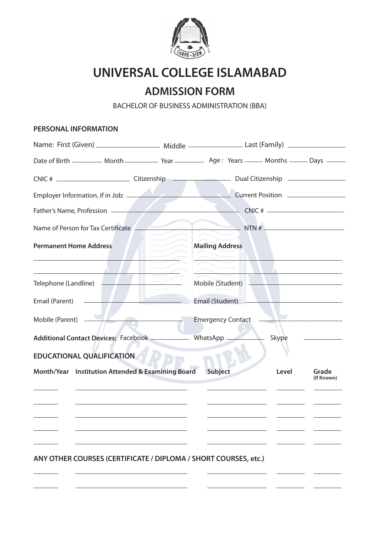

# **UNIVERSAL COLLEGE ISLAMABAD**

# **ADMISSION FORM**

BACHELOR OF BUSINESS ADMINISTRATION (BBA)

#### **PERSONAL INFORMATION**

| CNIC # _________________________________Citizenship _____________________________ Dual Citizenship _________________                   |                                                                                                                                                                                                                                                                                                                                                     |                                                    |       |                     |  |
|----------------------------------------------------------------------------------------------------------------------------------------|-----------------------------------------------------------------------------------------------------------------------------------------------------------------------------------------------------------------------------------------------------------------------------------------------------------------------------------------------------|----------------------------------------------------|-------|---------------------|--|
|                                                                                                                                        |                                                                                                                                                                                                                                                                                                                                                     |                                                    |       |                     |  |
| Father's Name, Profession                                                                                                              |                                                                                                                                                                                                                                                                                                                                                     | $CNIC$ # $\qquad$                                  |       |                     |  |
| Name of Person for Tax Certificate                                                                                                     |                                                                                                                                                                                                                                                                                                                                                     | NTN #                                              |       |                     |  |
| <b>Permanent Home Address</b>                                                                                                          | $\begin{picture}(20,20) \put(0,0){\line(1,0){10}} \put(15,0){\line(1,0){10}} \put(15,0){\line(1,0){10}} \put(15,0){\line(1,0){10}} \put(15,0){\line(1,0){10}} \put(15,0){\line(1,0){10}} \put(15,0){\line(1,0){10}} \put(15,0){\line(1,0){10}} \put(15,0){\line(1,0){10}} \put(15,0){\line(1,0){10}} \put(15,0){\line(1,0){10}} \put(15,0){\line(1$ | <b>Mailing Address</b>                             |       |                     |  |
|                                                                                                                                        |                                                                                                                                                                                                                                                                                                                                                     |                                                    |       |                     |  |
| Telephone (Landline)                                                                                                                   |                                                                                                                                                                                                                                                                                                                                                     | Mobile (Student) <u>__________________________</u> |       |                     |  |
| <u> Albanya di Basil Para Seria di Basil Para Seria di Basil Para Seria di Basil Para Seria di Basil Para Seria </u><br>Email (Parent) |                                                                                                                                                                                                                                                                                                                                                     | Email (Student) <b>Email</b> (Student)             |       |                     |  |
| Mobile (Parent)                                                                                                                        |                                                                                                                                                                                                                                                                                                                                                     | <b>Emergency Contact</b>                           |       |                     |  |
| Additional Contact Devices: Facebook __________                                                                                        |                                                                                                                                                                                                                                                                                                                                                     | WhatsApp                                           | Skype |                     |  |
| <b>EDUCATIONAL QUALIFICATION</b>                                                                                                       |                                                                                                                                                                                                                                                                                                                                                     |                                                    |       |                     |  |
| Month/Year Institution Attended & Examining Board                                                                                      |                                                                                                                                                                                                                                                                                                                                                     | Subject                                            | Level | Grade<br>(If Known) |  |
|                                                                                                                                        |                                                                                                                                                                                                                                                                                                                                                     |                                                    |       |                     |  |
|                                                                                                                                        |                                                                                                                                                                                                                                                                                                                                                     |                                                    |       |                     |  |
|                                                                                                                                        |                                                                                                                                                                                                                                                                                                                                                     |                                                    |       |                     |  |
|                                                                                                                                        |                                                                                                                                                                                                                                                                                                                                                     |                                                    |       |                     |  |
| ANY OTHER COURSES (CERTIFICATE / DIPLOMA / SHORT COURSES, etc.)                                                                        |                                                                                                                                                                                                                                                                                                                                                     |                                                    |       |                     |  |
|                                                                                                                                        |                                                                                                                                                                                                                                                                                                                                                     |                                                    |       |                     |  |